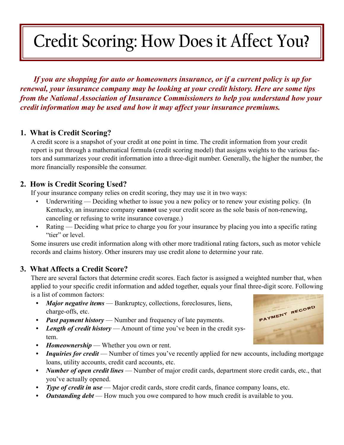# **Credit Scoring: How Does it Affect You?**

*If you are shopping for auto or homeowners insurance, or if a current policy is up for renewal, your insurance company may be looking at your credit history. Here are some tips from the National Association of Insurance Commissioners to help you understand how your credit information may be used and how it may affect your insurance premiums.*

# **1. What is Credit Scoring?**

A credit score is a snapshot of your credit at one point in time. The credit information from your credit report is put through a mathematical formula (credit scoring model) that assigns weights to the various factors and summarizes your credit information into a three-digit number. Generally, the higher the number, the more financially responsible the consumer.

### **2. How is Credit Scoring Used?**

If your insurance company relies on credit scoring, they may use it in two ways:

- Underwriting Deciding whether to issue you a new policy or to renew your existing policy. (In Kentucky, an insurance company **cannot** use your credit score as the sole basis of non-renewing, canceling or refusing to write insurance coverage.) •
- Rating Deciding what price to charge you for your insurance by placing you into a specific rating "tier" or level. •

Some insurers use credit information along with other more traditional rating factors, such as motor vehicle records and claims history. Other insurers may use credit alone to determine your rate.

### **3. What Affects a Credit Score?**

There are several factors that determine credit scores. Each factor is assigned a weighted number that, when applied to your specific credit information and added together, equals your final three-digit score. Following is a list of common factors:

- *Major negative items* Bankruptcy, collections, foreclosures, liens, charge-offs, etc. *•*
- *Past payment history* Number and frequency of late payments. *•*
- *Length of credit history* Amount of time you've been in the credit system. *•*
- *Homeownership* Whether you own or rent. *•*
- *Inquiries for credit* Number of times you've recently applied for new accounts, including mortgage loans, utility accounts, credit card accounts, etc. *•*
- *Number of open credit lines*  Number of major credit cards, department store credit cards, etc., that you've actually opened. *•*
- *Type of credit in use* Major credit cards, store credit cards, finance company loans, etc. *•*
- *Outstanding debt* How much you owe compared to how much credit is available to you. *•*